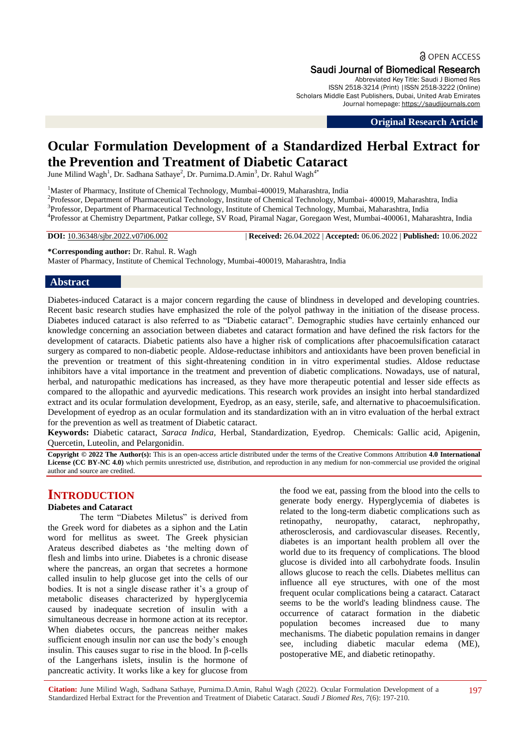**a** OPEN ACCESS

Saudi Journal of Biomedical Research Abbreviated Key Title: Saudi J Biomed Res

ISSN 2518-3214 (Print) |ISSN 2518-3222 (Online) Scholars Middle East Publishers, Dubai, United Arab Emirates Journal homepage: [https://saudijournals.com](https://saudijournals.com/sjbr)

**Original Research Article**

# **Ocular Formulation Development of a Standardized Herbal Extract for the Prevention and Treatment of Diabetic Cataract**

June Milind Wagh<sup>1</sup>, Dr. Sadhana Sathaye<sup>2</sup>, Dr. Purnima.D.Amin<sup>3</sup>, Dr. Rahul Wagh<sup>4\*</sup>

<sup>1</sup>Master of Pharmacy, Institute of Chemical Technology, Mumbai-400019, Maharashtra, India 2 Professor, Department of Pharmaceutical Technology, Institute of Chemical Technology, Mumbai- 400019, Maharashtra, India <sup>3</sup>Professor, Department of Pharmaceutical Technology, Institute of Chemical Technology, Mumbai, Maharashtra, India 4 Professor at Chemistry Department, Patkar college, SV Road, Piramal Nagar, Goregaon West, Mumbai-400061, Maharashtra, India

**DOI:** 10.36348/sjbr.2022.v07i06.002 | **Received:** 26.04.2022 | **Accepted:** 06.06.2022 | **Published:** 10.06.2022

**\*Corresponding author:** Dr. Rahul. R. Wagh

Master of Pharmacy, Institute of Chemical Technology, Mumbai-400019, Maharashtra, India

## **Abstract**

Diabetes-induced Cataract is a major concern regarding the cause of blindness in developed and developing countries. Recent basic research studies have emphasized the role of the polyol pathway in the initiation of the disease process. Diabetes induced cataract is also referred to as "Diabetic cataract". Demographic studies have certainly enhanced our knowledge concerning an association between diabetes and cataract formation and have defined the risk factors for the development of cataracts. Diabetic patients also have a higher risk of complications after phacoemulsification cataract surgery as compared to non-diabetic people. Aldose-reductase inhibitors and antioxidants have been proven beneficial in the prevention or treatment of this sight-threatening condition in in vitro experimental studies. Aldose reductase inhibitors have a vital importance in the treatment and prevention of diabetic complications. Nowadays, use of natural, herbal, and naturopathic medications has increased, as they have more therapeutic potential and lesser side effects as compared to the allopathic and ayurvedic medications. This research work provides an insight into herbal standardized extract and its ocular formulation development, Eyedrop, as an easy, sterile, safe, and alternative to phacoemulsification. Development of eyedrop as an ocular formulation and its standardization with an in vitro evaluation of the herbal extract for the prevention as well as treatment of Diabetic cataract.

**Keywords:** Diabetic cataract, *Saraca Indica,* Herbal, Standardization, Eyedrop. Chemicals: Gallic acid, Apigenin, Quercetin, Luteolin, and Pelargonidin.

**Copyright © 2022 The Author(s):** This is an open-access article distributed under the terms of the Creative Commons Attribution **4.0 International License (CC BY-NC 4.0)** which permits unrestricted use, distribution, and reproduction in any medium for non-commercial use provided the original author and source are credited.

## **INTRODUCTION**

#### **Diabetes and Cataract**

The term "Diabetes Miletus" is derived from the Greek word for diabetes as a siphon and the Latin word for mellitus as sweet. The Greek physician Arateus described diabetes as 'the melting down of flesh and limbs into urine. Diabetes is a chronic disease where the pancreas, an organ that secretes a hormone called insulin to help glucose get into the cells of our bodies. It is not a single disease rather it's a group of metabolic diseases characterized by hyperglycemia caused by inadequate secretion of insulin with a simultaneous decrease in hormone action at its receptor. When diabetes occurs, the pancreas neither makes sufficient enough insulin nor can use the body's enough insulin. This causes sugar to rise in the blood. In β-cells of the Langerhans islets, insulin is the hormone of pancreatic activity. It works like a key for glucose from

the food we eat, passing from the blood into the cells to generate body energy. Hyperglycemia of diabetes is related to the long-term diabetic complications such as retinopathy, neuropathy, cataract, nephropathy, atherosclerosis, and cardiovascular diseases. Recently, diabetes is an important health problem all over the world due to its frequency of complications. The blood glucose is divided into all carbohydrate foods. Insulin allows glucose to reach the cells. Diabetes mellitus can influence all eye structures, with one of the most frequent ocular complications being a cataract. Cataract seems to be the world's leading blindness cause. The occurrence of cataract formation in the diabetic population becomes increased due to many mechanisms. The diabetic population remains in danger see, including diabetic macular edema (ME), postoperative ME, and diabetic retinopathy.

**Citation:** June Milind Wagh, Sadhana Sathaye, Purnima.D.Amin, Rahul Wagh (2022). Ocular Formulation Development of a Standardized Herbal Extract for the Prevention and Treatment of Diabetic Cataract. *Saudi J Biomed Res, 7*(6): 197-210.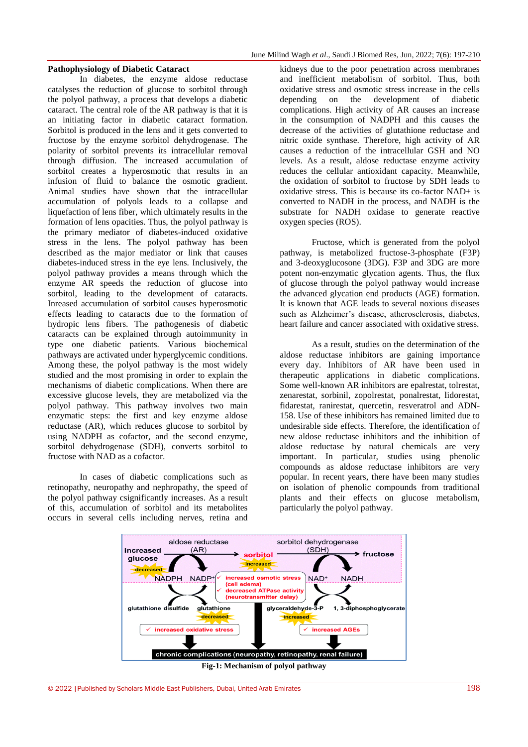### **Pathophysiology of Diabetic Cataract**

In diabetes, the enzyme aldose reductase catalyses the reduction of glucose to sorbitol through the polyol pathway, a process that develops a diabetic cataract. The central role of the AR pathway is that it is an initiating factor in diabetic cataract formation. Sorbitol is produced in the lens and it gets converted to fructose by the enzyme sorbitol dehydrogenase. The polarity of sorbitol prevents its intracellular removal through diffusion. The increased accumulation of sorbitol creates a hyperosmotic that results in an infusion of fluid to balance the osmotic gradient. Animal studies have shown that the intracellular accumulation of polyols leads to a collapse and liquefaction of lens fiber, which ultimately results in the formation of lens opacities. Thus, the polyol pathway is the primary mediator of diabetes-induced oxidative stress in the lens. The polyol pathway has been described as the major mediator or link that causes diabetes-induced stress in the eye lens. Inclusively, the polyol pathway provides a means through which the enzyme AR speeds the reduction of glucose into sorbitol, leading to the development of cataracts. Inreased accumulation of sorbitol causes hyperosmotic effects leading to cataracts due to the formation of hydropic lens fibers. The pathogenesis of diabetic cataracts can be explained through autoimmunity in type one diabetic patients. Various biochemical pathways are activated under hyperglycemic conditions. Among these, the polyol pathway is the most widely studied and the most promising in order to explain the mechanisms of diabetic complications. When there are excessive glucose levels, they are metabolized via the polyol pathway. This pathway involves two main enzymatic steps: the first and key enzyme aldose reductase (AR), which reduces glucose to sorbitol by using NADPH as cofactor, and the second enzyme, sorbitol dehydrogenase (SDH), converts sorbitol to fructose with NAD as a cofactor.

In cases of diabetic complications such as retinopathy, neuropathy and nephropathy, the speed of the polyol pathway csignificantly increases. As a result of this, accumulation of sorbitol and its metabolites occurs in several cells including nerves, retina and

kidneys due to the poor penetration across membranes and inefficient metabolism of sorbitol. Thus, both oxidative stress and osmotic stress increase in the cells depending on the development of diabetic complications. High activity of AR causes an increase in the consumption of NADPH and this causes the decrease of the activities of glutathione reductase and nitric oxide synthase. Therefore, high activity of AR causes a reduction of the intracellular GSH and NO levels. As a result, aldose reductase enzyme activity reduces the cellular antioxidant capacity. Meanwhile, the oxidation of sorbitol to fructose by SDH leads to oxidative stress. This is because its co-factor NAD+ is converted to NADH in the process, and NADH is the substrate for NADH oxidase to generate reactive oxygen species (ROS).

Fructose, which is generated from the polyol pathway, is metabolized fructose-3-phosphate (F3P) and 3-deoxyglucosone (3DG). F3P and 3DG are more potent non-enzymatic glycation agents. Thus, the flux of glucose through the polyol pathway would increase the advanced glycation end products (AGE) formation. It is known that AGE leads to several noxious diseases such as Alzheimer's disease, atherosclerosis, diabetes, heart failure and cancer associated with oxidative stress.

As a result, studies on the determination of the aldose reductase inhibitors are gaining importance every day. Inhibitors of AR have been used in therapeutic applications in diabetic complications. Some well-known AR inhibitors are epalrestat, tolrestat, zenarestat, sorbinil, zopolrestat, ponalrestat, lidorestat, fidarestat, ranirestat, quercetin, resveratrol and ADN-158. Use of these inhibitors has remained limited due to undesirable side effects. Therefore, the identification of new aldose reductase inhibitors and the inhibition of aldose reductase by natural chemicals are very important. In particular, studies using phenolic compounds as aldose reductase inhibitors are very popular. In recent years, there have been many studies on isolation of phenolic compounds from traditional plants and their effects on glucose metabolism, particularly the polyol pathway.

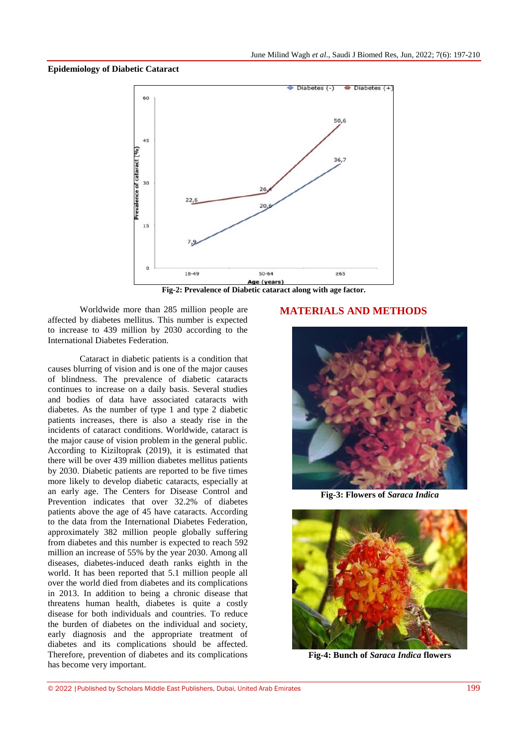#### **Epidemiology of Diabetic Cataract**



Worldwide more than 285 million people are affected by diabetes mellitus. This number is expected to increase to 439 million by 2030 according to the International Diabetes Federation.

Cataract in diabetic patients is a condition that causes blurring of vision and is one of the major causes of blindness. The prevalence of diabetic cataracts continues to increase on a daily basis. Several studies and bodies of data have associated cataracts with diabetes. As the number of type 1 and type 2 diabetic patients increases, there is also a steady rise in the incidents of cataract conditions. Worldwide, cataract is the major cause of vision problem in the general public. According to Kiziltoprak (2019), it is estimated that there will be over 439 million diabetes mellitus patients by 2030. Diabetic patients are reported to be five times more likely to develop diabetic cataracts, especially at an early age. The Centers for Disease Control and Prevention indicates that over 32.2% of diabetes patients above the age of 45 have cataracts. According to the data from the International Diabetes Federation, approximately 382 million people globally suffering from diabetes and this number is expected to reach 592 million an increase of 55% by the year 2030. Among all diseases, diabetes-induced death ranks eighth in the world. It has been reported that 5.1 million people all over the world died from diabetes and its complications in 2013. In addition to being a chronic disease that threatens human health, diabetes is quite a costly disease for both individuals and countries. To reduce the burden of diabetes on the individual and society, early diagnosis and the appropriate treatment of diabetes and its complications should be affected. Therefore, prevention of diabetes and its complications has become very important.

## **MATERIALS AND METHODS**



**Fig-3: Flowers of** *Saraca Indica*



**Fig-4: Bunch of** *Saraca Indica* **flowers**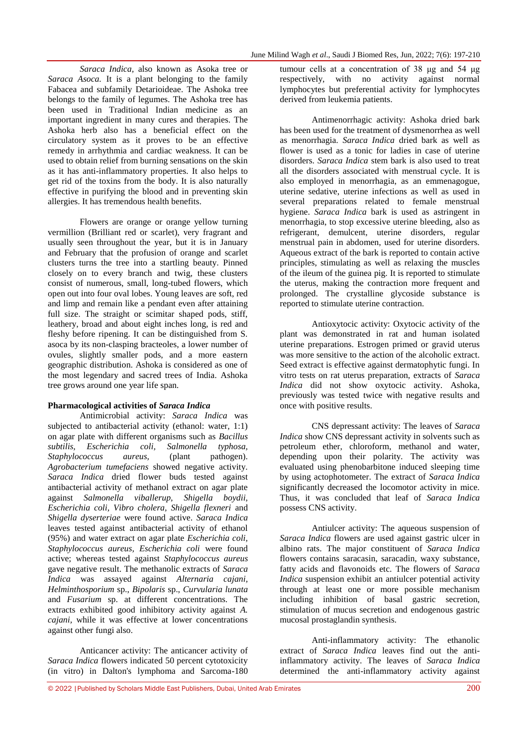*Saraca Indica,* also known as Asoka tree or *Saraca Asoca.* It is a plant belonging to the family [Fabacea a](https://en.wikipedia.org/wiki/Fabaceae)nd subfamily [Detarioideae. T](https://en.wikipedia.org/wiki/Detarioideae)he Ashoka tree belongs to the family of legumes. The Ashoka tree has been used in Traditional Indian medicine as an important ingredient in many cures and therapies. The Ashoka herb also has a beneficial effect on the circulatory system as it proves to be an effective remedy in arrhythmia and cardiac weakness. It can be used to obtain relief from burning sensations on the skin as it has anti-inflammatory properties. It also helps to get rid of the toxins from the body. It is also naturally effective in purifying the blood and in preventing skin allergies. It has tremendous health benefits.

Flowers are orange or orange yellow turning vermillion (Brilliant red or scarlet), very fragrant and usually seen throughout the year, but it is in January and February that the profusion of orange and scarlet clusters turns the tree into a startling beauty. Pinned closely on to every branch and twig, these clusters consist of numerous, small, long-tubed flowers, which open out into four oval lobes. Young leaves are soft, red and limp and remain like a pendant even after attaining full size. The straight or scimitar shaped pods, stiff, leathery, broad and about eight inches long, is red and fleshy before ripening. It can be distinguished from S. asoca by its non-clasping bracteoles, a lower number of ovules, slightly smaller pods, and a more eastern geographic distribution. Ashoka is considered as one of the most legendary and sacred trees of India. Ashoka tree grows around one year life span.

## **Pharmacological activities of** *Saraca Indica*

Antimicrobial activity: *Saraca Indica* was subjected to antibacterial activity (ethanol: water, 1:1) on agar plate with different organisms such as *Bacillus subtilis, Escherichia coli, Salmonella typhosa, Staphylococcus aureus,* (plant pathogen). *Agrobacterium tumefaciens* showed negative activity. *Saraca Indica* dried flower buds tested against antibacterial activity of methanol extract on agar plate against *Salmonella viballerup, Shigella boydii, Escherichia coli, Vibro cholera, Shigella flexneri* and *Shigella dyserteriae* were found active. *Saraca Indica* leaves tested against antibacterial activity of ethanol (95%) and water extract on agar plate *Escherichia coli, Staphylococcus aureus, Escherichia coli* were found active; whereas tested against *Staphylococcus aureus* gave negative result. The methanolic extracts of *Saraca Indica* was assayed against *Alternaria cajani, Helminthosporium* sp., *Bipolaris* sp., *Curvularia lunata* and *Fusarium* sp. at different concentrations. The extracts exhibited good inhibitory activity against *A. cajani,* while it was effective at lower concentrations against other fungi also.

Anticancer activity: The anticancer activity of *Saraca Indica* flowers indicated 50 percent cytotoxicity (in vitro) in Dalton's lymphoma and Sarcoma-180

tumour cells at a concentration of 38 μg and 54 μg respectively, with no activity against normal lymphocytes but preferential activity for lymphocytes derived from leukemia patients.

Antimenorrhagic activity: Ashoka dried bark has been used for the treatment of dysmenorrhea as well as menorrhagia. *Saraca Indica* dried bark as well as flower is used as a tonic for ladies in case of uterine disorders. *Saraca Indica* stem bark is also used to treat all the disorders associated with menstrual cycle. It is also employed in menorrhagia, as an emmenagogue, uterine sedative, uterine infections as well as used in several preparations related to female menstrual hygiene. *Saraca Indica* bark is used as astringent in menorrhagia, to stop excessive uterine bleeding, also as refrigerant, demulcent, uterine disorders, regular menstrual pain in abdomen, used for uterine disorders. Aqueous extract of the bark is reported to contain active principles, stimulating as well as relaxing the muscles of the ileum of the guinea pig. It is reported to stimulate the uterus, making the contraction more frequent and prolonged. The crystalline glycoside substance is reported to stimulate uterine contraction.

Antioxytocic activity: Oxytocic activity of the plant was demonstrated in rat and human isolated uterine preparations. Estrogen primed or gravid uterus was more sensitive to the action of the alcoholic extract. Seed extract is effective against dermatophytic fungi. In vitro tests on rat uterus preparation, extracts of *Saraca Indica* did not show oxytocic activity. Ashoka, previously was tested twice with negative results and once with positive results.

CNS depressant activity: The leaves of *Saraca Indica* show CNS depressant activity in solvents such as petroleum ether, chloroform, methanol and water, depending upon their polarity. The activity was evaluated using phenobarbitone induced sleeping time by using actophotometer. The extract of *Saraca Indica* significantly decreased the locomotor activity in mice. Thus, it was concluded that leaf of *Saraca Indica*  possess CNS activity.

Antiulcer activity: The aqueous suspension of *Saraca Indica* flowers are used against gastric ulcer in albino rats. The major constituent of *Saraca Indica* flowers contains saracasin, saracadin, waxy substance, fatty acids and flavonoids etc. The flowers of *Saraca Indica* suspension exhibit an antiulcer potential activity through at least one or more possible mechanism including inhibition of basal gastric secretion, stimulation of mucus secretion and endogenous gastric mucosal prostaglandin synthesis.

Anti-inflammatory activity: The ethanolic extract of *Saraca Indica* leaves find out the antiinflammatory activity. The leaves of *Saraca Indica* determined the anti-inflammatory activity against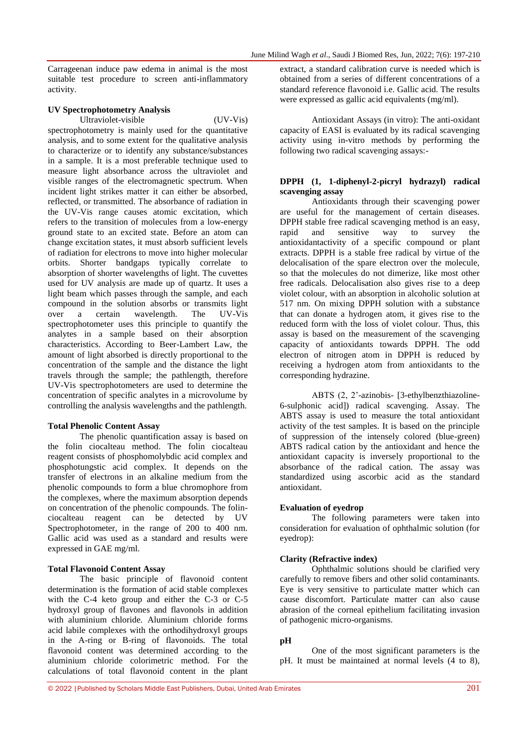Carrageenan induce paw edema in animal is the most suitable test procedure to screen anti-inflammatory activity.

#### **UV Spectrophotometry Analysis**

Ultraviolet-visible (UV-Vis) spectrophotometry is mainly used for the quantitative analysis, and to some extent for the qualitative analysis to characterize or to identify any substance/substances in a sample. It is a most preferable technique used to measure light absorbance across the ultraviolet and visible ranges of the electromagnetic spectrum. When incident light strikes matter it can either be absorbed, reflected, or transmitted. The absorbance of radiation in the UV-Vis range causes atomic excitation, which refers to the transition of molecules from a low-energy ground state to an excited state. Before an atom can change excitation states, it must absorb sufficient levels of radiation for electrons to move into higher molecular orbits. Shorter bandgaps typically correlate to absorption of shorter wavelengths of light. The cuvettes used for UV analysis are made up of quartz. It uses a light beam which passes through the sample, and each compound in the solution absorbs or transmits light over a certain wavelength. The UV-Vis spectrophotometer uses this principle to quantify the analytes in a sample based on their absorption characteristics. According to Beer-Lambert Law, the amount of light absorbed is directly proportional to the concentration of the sample and the distance the light travels through the sample; the pathlength, therefore UV-Vis spectrophotometers are used to determine the concentration of specific analytes in a microvolume by controlling the analysis wavelengths and the pathlength.

#### **Total Phenolic Content Assay**

The phenolic quantification assay is based on the folin ciocalteau method. The folin ciocalteau reagent consists of phosphomolybdic acid complex and phosphotungstic acid complex. It depends on the transfer of electrons in an alkaline medium from the phenolic compounds to form a blue chromophore from the complexes, where the maximum absorption depends on concentration of the phenolic compounds. The folinciocalteau reagent can be detected by UV Spectrophotometer, in the range of 200 to 400 nm. Gallic acid was used as a standard and results were expressed in GAE mg/ml.

#### **Total Flavonoid Content Assay**

The basic principle of flavonoid content determination is the formation of acid stable complexes with the C-4 keto group and either the C-3 or C-5 hydroxyl group of flavones and flavonols in addition with aluminium chloride. Aluminium chloride forms acid labile complexes with the orthodihydroxyl groups in the A-ring or B-ring of flavonoids. The total flavonoid content was determined according to the aluminium chloride colorimetric method. For the calculations of total flavonoid content in the plant

extract, a standard calibration curve is needed which is obtained from a series of different concentrations of a standard reference flavonoid i.e. Gallic acid. The results were expressed as gallic acid equivalents (mg/ml).

Antioxidant Assays (in vitro): The anti-oxidant capacity of EASI is evaluated by its radical scavenging activity using in-vitro methods by performing the following two radical scavenging assays:-

### **DPPH (1, 1-diphenyl-2-picryl hydrazyl) radical scavenging assay**

Antioxidants through their scavenging power are useful for the management of certain diseases. DPPH stable free radical scavenging method is an easy, rapid and sensitive way to survey the antioxidantactivity of a specific compound or plant extracts. DPPH is a stable free radical by virtue of the delocalisation of the spare electron over the molecule, so that the molecules do not dimerize, like most other free radicals. Delocalisation also gives rise to a deep violet colour, with an absorption in alcoholic solution at 517 nm. On mixing DPPH solution with a substance that can donate a hydrogen atom, it gives rise to the reduced form with the loss of violet colour. Thus, this assay is based on the measurement of the scavenging capacity of antioxidants towards DPPH. The odd electron of nitrogen atom in DPPH is reduced by receiving a hydrogen atom from antioxidants to the corresponding hydrazine.

ABTS (2, 2'-azinobis- [3-ethylbenzthiazoline-6-sulphonic acid]) radical scavenging. Assay. The ABTS assay is used to measure the total antioxidant activity of the test samples. It is based on the principle of suppression of the intensely colored (blue-green) ABTS radical cation by the antioxidant and hence the antioxidant capacity is inversely proportional to the absorbance of the radical cation. The assay was standardized using ascorbic acid as the standard antioxidant.

#### **Evaluation of eyedrop**

The following parameters were taken into consideration for evaluation of ophthalmic solution (for eyedrop):

#### **Clarity (Refractive index)**

Ophthalmic solutions should be clarified very carefully to remove fibers and other solid contaminants. Eye is very sensitive to particulate matter which can cause discomfort. Particulate matter can also cause abrasion of the corneal epithelium facilitating invasion of pathogenic micro-organisms.

#### **pH**

One of the most significant parameters is the pH. It must be maintained at normal levels (4 to 8),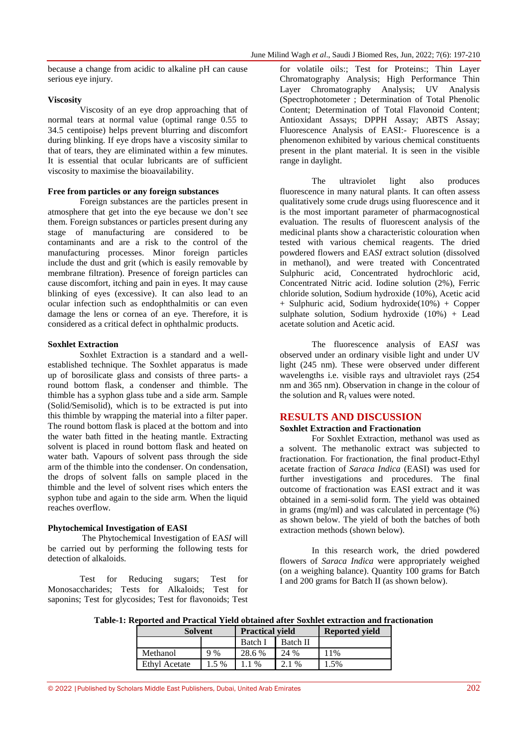because a change from acidic to alkaline pH can cause serious eye injury.

## **Viscosity**

Viscosity of an eye drop approaching that of normal tears at normal value (optimal range 0.55 to 34.5 centipoise) helps prevent blurring and discomfort during blinking. If eye drops have a viscosity similar to that of tears, they are eliminated within a few minutes. It is essential that ocular lubricants are of sufficient viscosity to maximise the bioavailability.

## **Free from particles or any foreign substances**

Foreign substances are the particles present in atmosphere that get into the eye because we don't see them. Foreign substances or particles present during any stage of manufacturing are considered to be contaminants and are a risk to the control of the manufacturing processes. Minor foreign particles include the dust and grit (which is easily removable by membrane filtration). Presence of foreign particles can cause discomfort, itching and pain in eyes. It may cause blinking of eyes (excessive). It can also lead to an ocular infection such as endophthalmitis or can even damage the lens or cornea of an eye. Therefore, it is considered as a critical defect in ophthalmic products.

## **Soxhlet Extraction**

Soxhlet Extraction is a standard and a wellestablished technique. The Soxhlet apparatus is made up of borosilicate glass and consists of three parts- a round bottom flask, a condenser and thimble. The thimble has a syphon glass tube and a side arm. Sample (Solid/Semisolid), which is to be extracted is put into this thimble by wrapping the material into a filter paper. The round bottom flask is placed at the bottom and into the water bath fitted in the heating mantle. Extracting solvent is placed in round bottom flask and heated on water bath. Vapours of solvent pass through the side arm of the thimble into the condenser. On condensation, the drops of solvent falls on sample placed in the thimble and the level of solvent rises which enters the syphon tube and again to the side arm. When the liquid reaches overflow.

## **Phytochemical Investigation of EASI**

The Phytochemical Investigation of EA*SI* will be carried out by performing the following tests for detection of alkaloids.

Test for Reducing sugars; Test for Monosaccharides; Tests for Alkaloids; Test for saponins; Test for glycosides; Test for flavonoids; Test for volatile oils:; Test for Proteins:; Thin Layer Chromatography Analysis; High Performance Thin Layer Chromatography Analysis; UV Analysis (Spectrophotometer ; Determination of Total Phenolic Content; Determination of Total Flavonoid Content; Antioxidant Assays; DPPH Assay; ABTS Assay; Fluorescence Analysis of EASI:- Fluorescence is a phenomenon exhibited by various chemical constituents present in the plant material. It is seen in the visible range in daylight.

The ultraviolet light also produces fluorescence in many natural plants. It can often assess qualitatively some crude drugs using fluorescence and it is the most important parameter of pharmacognostical evaluation. The results of fluorescent analysis of the medicinal plants show a characteristic colouration when tested with various chemical reagents. The dried powdered flowers and EA*SI* extract solution (dissolved in methanol), and were treated with Concentrated Sulphuric acid, Concentrated hydrochloric acid, Concentrated Nitric acid. Iodine solution (2%), Ferric chloride solution, Sodium hydroxide (10%), Acetic acid + Sulphuric acid, Sodium hydroxide(10%) + Copper sulphate solution, Sodium hydroxide  $(10\%) +$  Lead acetate solution and Acetic acid.

The fluorescence analysis of EA*SI* was observed under an ordinary visible light and under UV light (245 nm). These were observed under different wavelengths i.e. visible rays and ultraviolet rays (254 nm and 365 nm). Observation in change in the colour of the solution and  $R_f$  values were noted.

## **RESULTS AND DISCUSSION**

## **Soxhlet Extraction and Fractionation**

For Soxhlet Extraction, methanol was used as a solvent. The methanolic extract was subjected to fractionation. For fractionation, the final product-Ethyl acetate fraction of *Saraca Indica* (EASI) was used for further investigations and procedures. The final outcome of fractionation was EASI extract and it was obtained in a semi-solid form. The yield was obtained in grams (mg/ml) and was calculated in percentage (%) as shown below. The yield of both the batches of both extraction methods (shown below).

In this research work, the dried powdered flowers of *Saraca Indica* were appropriately weighed (on a weighing balance). Quantity 100 grams for Batch I and 200 grams for Batch II (as shown below).

**Table-1: Reported and Practical Yield obtained after Soxhlet extraction and fractionation**

| Solvent<br><b>Practical vield</b> |       |         | <b>Reported vield</b> |      |
|-----------------------------------|-------|---------|-----------------------|------|
|                                   |       | Batch I | Batch II              |      |
| Methanol                          | 9 %   | 28.6 %  | 24 %                  | 11%  |
| Ethyl Acetate                     | 1.5 % | $\%$    | $\%$                  | 1.5% |

© 2022 |Published by Scholars Middle East Publishers, Dubai, United Arab Emirates 202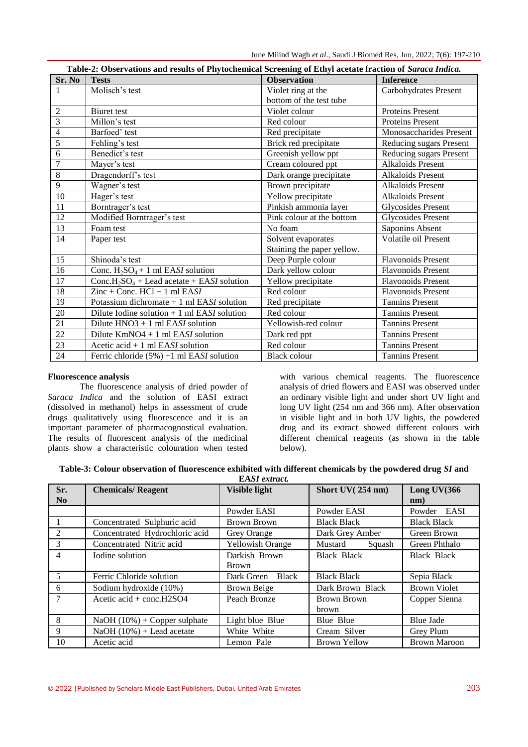June Milind Wagh *et al*., Saudi J Biomed Res, Jun, 2022; 7(6): 197-210

| Table-2: Observations and results of Phytochemical Screening of Ethyl acetate fraction of Saraca Indica. |                                                                    |                            |                             |  |
|----------------------------------------------------------------------------------------------------------|--------------------------------------------------------------------|----------------------------|-----------------------------|--|
| Sr. No                                                                                                   | <b>Tests</b>                                                       | <b>Observation</b>         | <b>Inference</b>            |  |
| 1                                                                                                        | Molisch's test                                                     | Violet ring at the         | Carbohydrates Present       |  |
|                                                                                                          |                                                                    | bottom of the test tube    |                             |  |
| 2                                                                                                        | Biuret test                                                        | Violet colour              | <b>Proteins Present</b>     |  |
| 3                                                                                                        | Millon's test                                                      | Red colour                 | <b>Proteins Present</b>     |  |
| $\overline{\mathcal{L}}$                                                                                 | Barfoed' test                                                      | Red precipitate            | Monosaccharides Present     |  |
| 5                                                                                                        | Fehling's test                                                     | Brick red precipitate      | Reducing sugars Present     |  |
| 6                                                                                                        | Benedict's test                                                    | Greenish yellow ppt        | Reducing sugars Present     |  |
| $\overline{7}$                                                                                           | Mayer's test                                                       | Cream coloured ppt         | <b>Alkaloids Present</b>    |  |
| 8                                                                                                        | Dragendorff's test                                                 | Dark orange precipitate    | <b>Alkaloids Present</b>    |  |
| 9                                                                                                        | Wagner's test                                                      | Brown precipitate          | Alkaloids Present           |  |
| 10                                                                                                       | Hager's test                                                       | Yellow precipitate         | <b>Alkaloids Present</b>    |  |
| 11                                                                                                       | Borntrager's test                                                  | Pinkish ammonia layer      | <b>Glycosides Present</b>   |  |
| 12                                                                                                       | Modified Borntrager's test                                         | Pink colour at the bottom  | Glycosides Present          |  |
| 13                                                                                                       | Foam test                                                          | No foam                    | Saponins Absent             |  |
| 14                                                                                                       | Paper test                                                         | Solvent evaporates         | <b>Volatile oil Present</b> |  |
|                                                                                                          |                                                                    | Staining the paper yellow. |                             |  |
| 15                                                                                                       | Shinoda's test                                                     | Deep Purple colour         | <b>Flavonoids Present</b>   |  |
| 16                                                                                                       | Conc. $H_2SO_4 + 1$ ml EASI solution                               | Dark yellow colour         | <b>Flavonoids Present</b>   |  |
| 17                                                                                                       | Conc.H <sub>2</sub> SO <sub>4</sub> + Lead acetate + EASI solution | Yellow precipitate         | <b>Flavonoids Present</b>   |  |
| 18                                                                                                       | Zinc + Conc. $HCl + 1$ ml EASI                                     | Red colour                 | <b>Flavonoids Present</b>   |  |
| 19                                                                                                       | Potassium dichromate $+1$ ml EASI solution                         | Red precipitate            | <b>Tannins Present</b>      |  |
| 20                                                                                                       | Dilute Iodine solution $+1$ ml EASI solution                       | Red colour                 | <b>Tannins Present</b>      |  |
| 21                                                                                                       | Dilute $HNO3 + 1$ ml EASI solution                                 | Yellowish-red colour       | <b>Tannins Present</b>      |  |
| 22                                                                                                       | Dilute $KmNO4 + 1$ ml EASI solution                                | Dark red ppt               | <b>Tannins Present</b>      |  |
| 23                                                                                                       | Acetic $\text{acid} + 1$ ml EASI solution                          | Red colour                 | <b>Tannins Present</b>      |  |
| 24                                                                                                       | Ferric chloride $(5\%) +1$ ml EASI solution                        | <b>Black colour</b>        | <b>Tannins Present</b>      |  |

### **Fluorescence analysis**

The fluorescence analysis of dried powder of *Saraca Indica* and the solution of EASI extract (dissolved in methanol) helps in assessment of crude drugs qualitatively using fluorescence and it is an important parameter of pharmacognostical evaluation. The results of fluorescent analysis of the medicinal plants show a characteristic colouration when tested

with various chemical reagents. The fluorescence analysis of dried flowers and EASI was observed under an ordinary visible light and under short UV light and long UV light (254 nm and 366 nm). After observation in visible light and in both UV lights, the powdered drug and its extract showed different colours with different chemical reagents (as shown in the table below).

| Table-3: Colour observation of fluorescence exhibited with different chemicals by the powdered drug SI and |
|------------------------------------------------------------------------------------------------------------|
| $\Gamma$ A CI antroval                                                                                     |

| Sr.<br>N <sub>0</sub> | <b>Chemicals/Reagent</b>                  | <b>Visible light</b>          | Short UV(254 nm)     | Long $UV(366)$<br>nm) |
|-----------------------|-------------------------------------------|-------------------------------|----------------------|-----------------------|
|                       |                                           | Powder EASI                   | Powder EASI          | Powder EASI           |
|                       | Concentrated Sulphuric acid               | Brown Brown                   | <b>Black Black</b>   | <b>Black Black</b>    |
| 2                     | Concentrated Hydrochloric acid            | Grey Orange                   | Dark Grey Amber      | Green Brown           |
| 3                     | Concentrated Nitric acid                  | <b>Yellowish Orange</b>       | Mustard<br>Squash    | Green Phthalo         |
| 4                     | Iodine solution                           | Darkish Brown<br><b>Brown</b> | Black Black          | Black Black           |
| 5                     | Ferric Chloride solution                  | Dark Green<br><b>Black</b>    | <b>Black Black</b>   | Sepia Black           |
| 6                     | Sodium hydroxide (10%)                    | <b>Brown Beige</b>            | Dark Brown Black     | <b>Brown Violet</b>   |
| 7                     | Acetic $\text{acid} + \text{conc.}$ H2SO4 | Peach Bronze                  | Brown Brown<br>brown | Copper Sienna         |
| 8                     | $NaOH (10%) + Copper sulphate$            | Light blue Blue               | Blue Blue            | <b>Blue Jade</b>      |
| 9                     | $NaOH (10%) + Lead acetate$               | White White                   | Cream Silver         | Grey Plum             |
| 10                    | Acetic acid                               | Lemon Pale                    | <b>Brown Yellow</b>  | <b>Brown Maroon</b>   |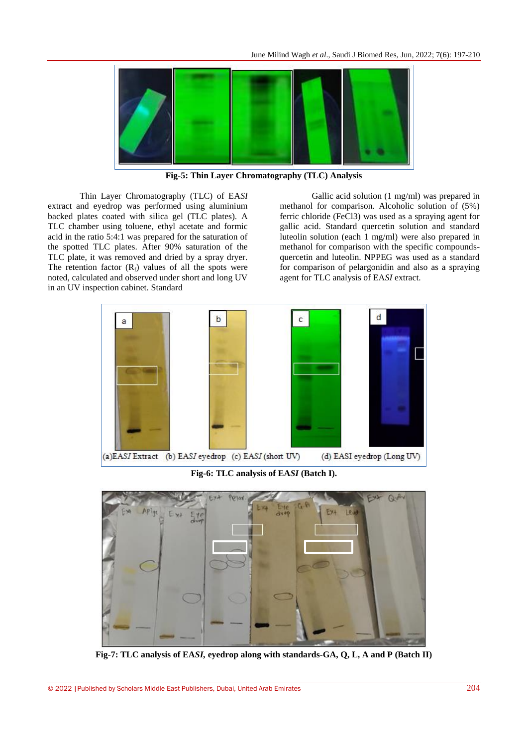

**Fig-5: Thin Layer Chromatography (TLC) Analysis**

Thin Layer Chromatography (TLC) of EA*SI* extract and eyedrop was performed using aluminium backed plates coated with silica gel (TLC plates). A TLC chamber using toluene, ethyl acetate and formic acid in the ratio 5:4:1 was prepared for the saturation of the spotted TLC plates. After 90% saturation of the TLC plate, it was removed and dried by a spray dryer. The retention factor  $(R_f)$  values of all the spots were noted, calculated and observed under short and long UV in an UV inspection cabinet. Standard

Gallic acid solution (1 mg/ml) was prepared in methanol for comparison. Alcoholic solution of (5%) ferric chloride (FeCl3) was used as a spraying agent for gallic acid. Standard quercetin solution and standard luteolin solution (each 1 mg/ml) were also prepared in methanol for comparison with the specific compoundsquercetin and luteolin. NPPEG was used as a standard for comparison of pelargonidin and also as a spraying agent for TLC analysis of EA*SI* extract.



**Fig-6: TLC analysis of EA***SI* **(Batch I).**



**Fig-7: TLC analysis of EA***SI,* **eyedrop along with standards-GA, Q, L, A and P (Batch II)**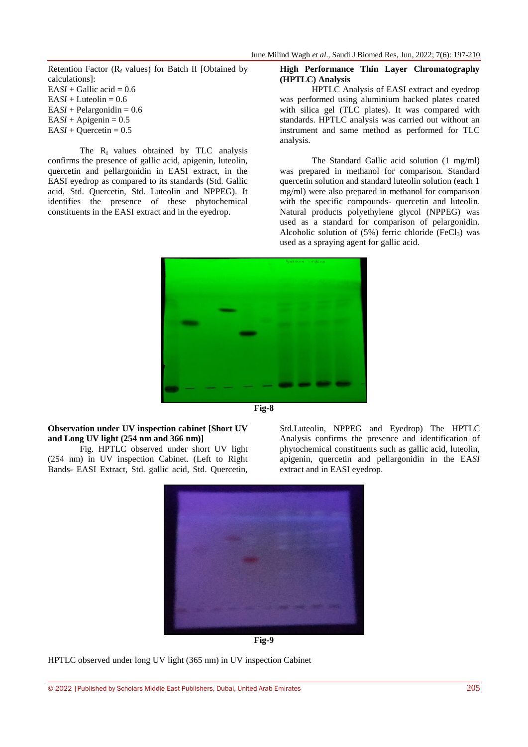Retention Factor ( $R_f$  values) for Batch II [Obtained by calculations]:  $EASI + Gallic acid = 0.6$  $EASI + Luteolin = 0.6$  $EASI + Pelargonidin = 0.6$  $EASI + \text{Apigenin} = 0.5$  $EASI + Quercetin = 0.5$ 

The  $R_f$  values obtained by TLC analysis confirms the presence of gallic acid, apigenin, luteolin, quercetin and pellargonidin in EASI extract, in the EASI eyedrop as compared to its standards (Std. Gallic acid, Std. Quercetin, Std. Luteolin and NPPEG). It identifies the presence of these phytochemical constituents in the EASI extract and in the eyedrop.

### **High Performance Thin Layer Chromatography (HPTLC) Analysis**

HPTLC Analysis of EASI extract and eyedrop was performed using aluminium backed plates coated with silica gel (TLC plates). It was compared with standards. HPTLC analysis was carried out without an instrument and same method as performed for TLC analysis.

The Standard Gallic acid solution (1 mg/ml) was prepared in methanol for comparison. Standard quercetin solution and standard luteolin solution (each 1 mg/ml) were also prepared in methanol for comparison with the specific compounds- quercetin and luteolin. Natural products polyethylene glycol (NPPEG) was used as a standard for comparison of pelargonidin. Alcoholic solution of  $(5%)$  ferric chloride (FeCl<sub>3</sub>) was used as a spraying agent for gallic acid.





## **Observation under UV inspection cabinet [Short UV and Long UV light (254 nm and 366 nm)]**

Fig. HPTLC observed under short UV light (254 nm) in UV inspection Cabinet. (Left to Right Bands- EASI Extract, Std. gallic acid, Std. Quercetin,

Std.Luteolin, NPPEG and Eyedrop) The HPTLC Analysis confirms the presence and identification of phytochemical constituents such as gallic acid, luteolin, apigenin, quercetin and pellargonidin in the EA*SI*  extract and in EASI eyedrop.



**Fig-9**

HPTLC observed under long UV light (365 nm) in UV inspection Cabinet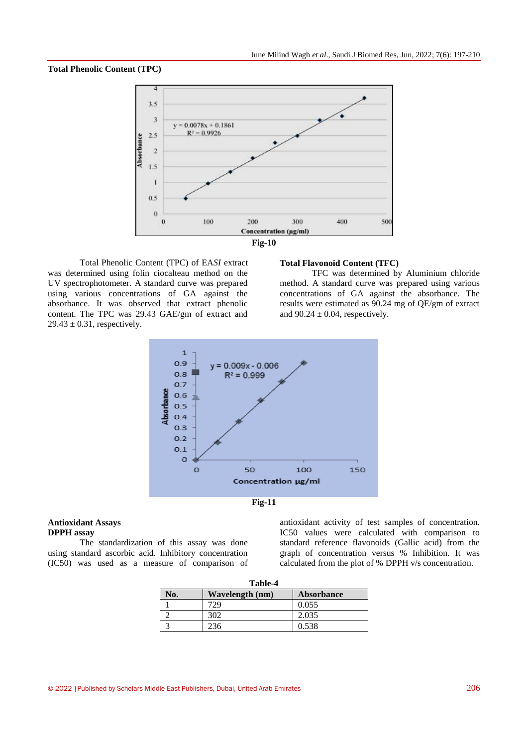#### **Total Phenolic Content (TPC)**



Total Phenolic Content (TPC) of EA*SI* extract was determined using folin ciocalteau method on the UV spectrophotometer. A standard curve was prepared using various concentrations of GA against the absorbance. It was observed that extract phenolic content. The TPC was 29.43 GAE/gm of extract and  $29.43 \pm 0.31$ , respectively.

#### **Total Flavonoid Content (TFC)**

TFC was determined by Aluminium chloride method. A standard curve was prepared using various concentrations of GA against the absorbance. The results were estimated as 90.24 mg of QE/gm of extract and  $90.24 \pm 0.04$ , respectively.





## **Antioxidant Assays DPPH assay**

The standardization of this assay was done using standard ascorbic acid. Inhibitory concentration (IC50) was used as a measure of comparison of antioxidant activity of test samples of concentration. IC50 values were calculated with comparison to standard reference flavonoids (Gallic acid) from the graph of concentration versus % Inhibition. It was calculated from the plot of % DPPH v/s concentration.

| Table-4 |                        |                   |  |  |
|---------|------------------------|-------------------|--|--|
| No.     | <b>Wavelength (nm)</b> | <b>Absorbance</b> |  |  |
|         | 729                    | 0.055             |  |  |
|         | 302                    | 2.035             |  |  |
|         | 236                    | 0.538             |  |  |

© 2022 |Published by Scholars Middle East Publishers, Dubai, United Arab Emirates 206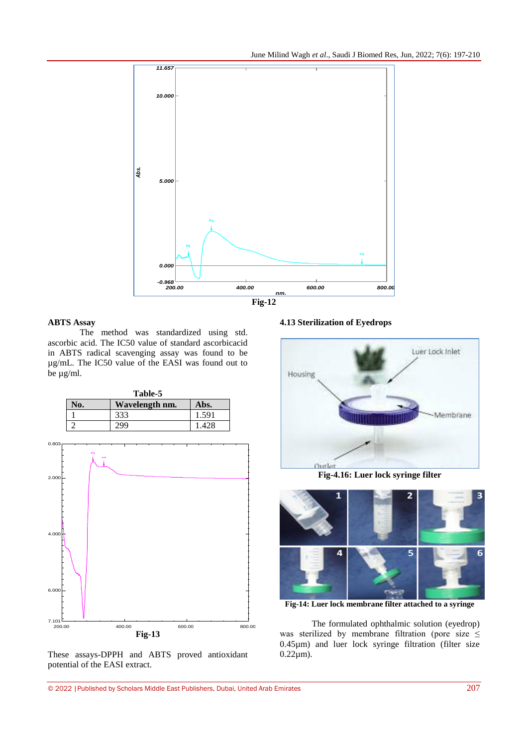

#### **ABTS Assay**

The method was standardized using std. ascorbic acid. The IC50 value of standard ascorbicacid in ABTS radical scavenging assay was found to be µg/mL. The IC50 value of the EASI was found out to be µg/ml.

| Table-5 |                |       |  |  |
|---------|----------------|-------|--|--|
| No.     | Wavelength nm. | Abs.  |  |  |
|         | 333            | 1.591 |  |  |
|         | oq             | .428  |  |  |



These assays-DPPH and ABTS proved antioxidant potential of the EASI extract.

**4.13 Sterilization of Eyedrops**



**Fig-4.16: Luer lock syringe filter**



**Fig-14: Luer lock membrane filter attached to a syringe**

The formulated ophthalmic solution (eyedrop) was sterilized by membrane filtration (pore size  $\leq$ 0.45µm) and luer lock syringe filtration (filter size 0.22µm).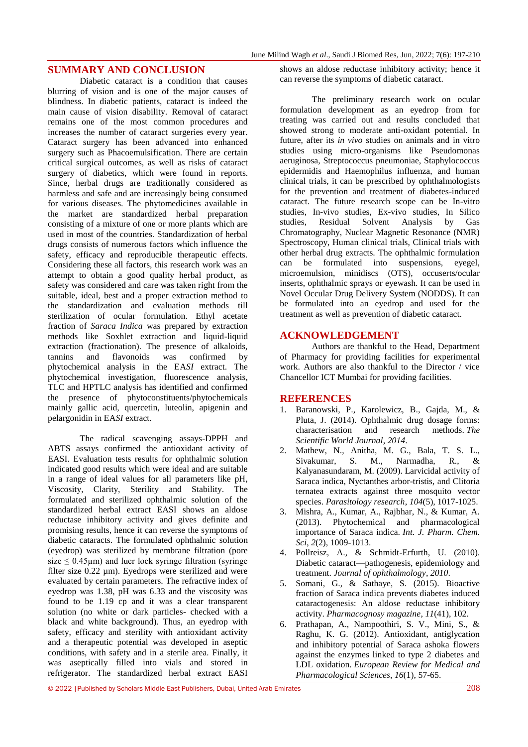## **SUMMARY AND CONCLUSION**

Diabetic cataract is a condition that causes blurring of vision and is one of the major causes of blindness. In diabetic patients, cataract is indeed the main cause of vision disability. Removal of cataract remains one of the most common procedures and increases the number of cataract surgeries every year. Cataract surgery has been advanced into enhanced surgery such as Phacoemulsification. There are certain critical surgical outcomes, as well as risks of cataract surgery of diabetics, which were found in reports. Since, herbal drugs are traditionally considered as harmless and safe and are increasingly being consumed for various diseases. The phytomedicines available in the market are standardized herbal preparation consisting of a mixture of one or more plants which are used in most of the countries. Standardization of herbal drugs consists of numerous factors which influence the safety, efficacy and reproducible therapeutic effects. Considering these all factors, this research work was an attempt to obtain a good quality herbal product, as safety was considered and care was taken right from the suitable, ideal, best and a proper extraction method to the standardization and evaluation methods till sterilization of ocular formulation. Ethyl acetate fraction of *Saraca Indica* was prepared by extraction methods like Soxhlet extraction and liquid-liquid extraction (fractionation). The presence of alkaloids, tannins and flavonoids was confirmed by phytochemical analysis in the EA*SI* extract. The phytochemical investigation, fluorescence analysis, TLC and HPTLC analysis has identified and confirmed the presence of phytoconstituents/phytochemicals mainly gallic acid, quercetin, luteolin, apigenin and pelargonidin in EA*SI* extract.

The radical scavenging assays-DPPH and ABTS assays confirmed the antioxidant activity of EASI. Evaluation tests results for ophthalmic solution indicated good results which were ideal and are suitable in a range of ideal values for all parameters like pH, Viscosity, Clarity, Sterility and Stability. The formulated and sterilized ophthalmic solution of the standardized herbal extract EASI shows an aldose reductase inhibitory activity and gives definite and promising results, hence it can reverse the symptoms of diabetic cataracts. The formulated ophthalmic solution (eyedrop) was sterilized by membrane filtration (pore size  $\leq$  0.45 $\mu$ m) and luer lock syringe filtration (syringe filter size 0.22 µm). Eyedrops were sterilized and were evaluated by certain parameters. The refractive index of eyedrop was 1.38, pH was 6.33 and the viscosity was found to be 1.19 cp and it was a clear transparent solution (no white or dark particles- checked with a black and white background). Thus, an eyedrop with safety, efficacy and sterility with antioxidant activity and a therapeutic potential was developed in aseptic conditions, with safety and in a sterile area. Finally, it was aseptically filled into vials and stored in refrigerator. The standardized herbal extract EASI

shows an aldose reductase inhibitory activity; hence it can reverse the symptoms of diabetic cataract.

The preliminary research work on ocular formulation development as an eyedrop from for treating was carried out and results concluded that showed strong to moderate anti-oxidant potential. In future, after its *in vivo* studies on animals and in vitro studies using micro-organisms like Pseudomonas aeruginosa, Streptococcus pneumoniae, Staphylococcus epidermidis and Haemophilus influenza, and human clinical trials, it can be prescribed by ophthalmologists for the prevention and treatment of diabetes-induced cataract. The future research scope can be In-vitro studies, In-vivo studies, Ex-vivo studies, In Silico studies, Residual Solvent Analysis by Gas Chromatography, Nuclear Magnetic Resonance (NMR) Spectroscopy, Human clinical trials, Clinical trials with other herbal drug extracts. The ophthalmic formulation can be formulated into suspensions, eyegel, microemulsion, minidiscs (OTS), occuserts/ocular inserts, ophthalmic sprays or eyewash. It can be used in Novel Occular Drug Delivery System (NODDS). It can be formulated into an eyedrop and used for the treatment as well as prevention of diabetic cataract.

## **ACKNOWLEDGEMENT**

Authors are thankful to the Head, Department of Pharmacy for providing facilities for experimental work. Authors are also thankful to the Director / vice Chancellor ICT Mumbai for providing facilities.

## **REFERENCES**

- 1. Baranowski, P., Karolewicz, B., Gajda, M., & Pluta, J. (2014). Ophthalmic drug dosage forms: characterisation and research methods. *The Scientific World Journal*, *2014*.
- 2. Mathew, N., Anitha, M. G., Bala, T. S. L., Sivakumar, S. M., Narmadha, R., & Kalyanasundaram, M. (2009). Larvicidal activity of Saraca indica, Nyctanthes arbor-tristis, and Clitoria ternatea extracts against three mosquito vector species. *Parasitology research*, *104*(5), 1017-1025.
- 3. Mishra, A., Kumar, A., Rajbhar, N., & Kumar, A. (2013). Phytochemical and pharmacological importance of Saraca indica. *Int. J. Pharm. Chem. Sci*, *2*(2), 1009-1013.
- 4. Pollreisz, A., & Schmidt-Erfurth, U. (2010). Diabetic cataract—pathogenesis, epidemiology and treatment. *Journal of ophthalmology*, *2010*.
- 5. Somani, G., & Sathaye, S. (2015). Bioactive fraction of Saraca indica prevents diabetes induced cataractogenesis: An aldose reductase inhibitory activity. *Pharmacognosy magazine*, *11*(41), 102.
- 6. Prathapan, A., Nampoothiri, S. V., Mini, S., & Raghu, K. G. (2012). Antioxidant, antiglycation and inhibitory potential of Saraca ashoka flowers against the enzymes linked to type 2 diabetes and LDL oxidation. *European Review for Medical and Pharmacological Sciences*, *16*(1), 57-65.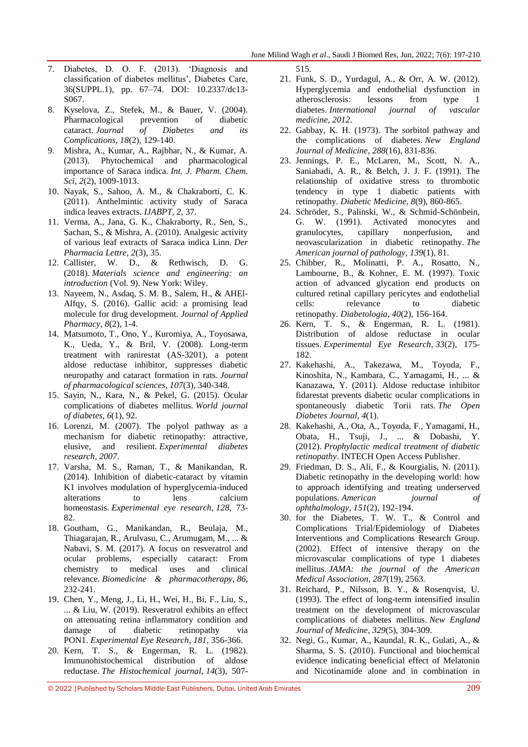- 7. Diabetes, D. O. F. (2013). 'Diagnosis and classification of diabetes mellitus', Diabetes Care, 36(SUPPL.1), pp. 67–74. DOI: 10.2337/dc13- S067.
- 8. Kyselova, Z., Stefek, M., & Bauer, V. (2004). Pharmacological prevention of diabetic cataract. *Journal of Diabetes and its Complications*, *18*(2), 129-140.
- 9. Mishra, A., Kumar, A., Rajbhar, N., & Kumar, A. (2013). Phytochemical and pharmacological importance of Saraca indica. *Int. J. Pharm. Chem. Sci*, *2*(2), 1009-1013.
- 10. Nayak, S., Sahoo, A. M., & Chakraborti, C. K. (2011). Anthelmintic activity study of Saraca indica leaves extracts. *IJABPT*, *2*, 37.
- 11. Verma, A., Jana, G. K., Chakraborty, R., Sen, S., Sachan, S., & Mishra, A. (2010). Analgesic activity of various leaf extracts of Saraca indica Linn. *Der Pharmacia Lettre*, *2*(3), 35.
- 12. Callister, W. D., & Rethwisch, D. G. (2018). *Materials science and engineering: an introduction* (Vol. 9). New York: Wiley.
- 13. Nayeem, N., Asdaq, S. M. B., Salem, H., & AHEl-Alfqy, S. (2016). Gallic acid: a promising lead molecule for drug development. *Journal of Applied Pharmacy*, *8*(2), 1-4.
- 14. Matsumoto, T., Ono, Y., Kuromiya, A., Toyosawa, K., Ueda, Y., & Bril, V. (2008). Long-term treatment with ranirestat (AS-3201), a potent aldose reductase inhibitor, suppresses diabetic neuropathy and cataract formation in rats. *Journal of pharmacological sciences*, *107*(3), 340-348.
- 15. Sayin, N., Kara, N., & Pekel, G. (2015). Ocular complications of diabetes mellitus. *World journal of diabetes*, *6*(1), 92.
- 16. Lorenzi, M. (2007). The polyol pathway as a mechanism for diabetic retinopathy: attractive, elusive, and resilient. *Experimental diabetes research*, *2007*.
- 17. Varsha, M. S., Raman, T., & Manikandan, R. (2014). Inhibition of diabetic-cataract by vitamin K1 involves modulation of hyperglycemia-induced alterations to lens calcium homeostasis. *Experimental eye research*, *128*, 73- 82.
- 18. Goutham, G., Manikandan, R., Beulaja, M., Thiagarajan, R., Arulvasu, C., Arumugam, M., ... & Nabavi, S. M. (2017). A focus on resveratrol and ocular problems, especially cataract: From chemistry to medical uses and clinical relevance. *Biomedicine & pharmacotherapy*, *86*, 232-241.
- 19. Chen, Y., Meng, J., Li, H., Wei, H., Bi, F., Liu, S., ... & Liu, W. (2019). Resveratrol exhibits an effect on attenuating retina inflammatory condition and damage of diabetic retinopathy via PON1. *Experimental Eye Research*, *181*, 356-366.
- 20. Kern, T. S., & Engerman, R. L. (1982). Immunohistochemical distribution of aldose reductase. *The Histochemical journal*, *14*(3), 507-

515.

- 21. Funk, S. D., Yurdagul, A., & Orr, A. W. (2012). Hyperglycemia and endothelial dysfunction in atherosclerosis: lessons from type 1 diabetes. *International journal of vascular medicine*, *2012*.
- 22. Gabbay, K. H. (1973). The sorbitol pathway and the complications of diabetes. *New England Journal of Medicine*, *288*(16), 831-836.
- 23. Jennings, P. E., McLaren, M., Scott, N. A., Saniabadi, A. R., & Belch, J. J. F. (1991). The relationship of oxidative stress to thrombotic tendency in type 1 diabetic patients with retinopathy. *Diabetic Medicine*, *8*(9), 860-865.
- 24. Schröder, S., Palinski, W., & Schmid-Schönbein, G. W. (1991). Activated monocytes and granulocytes, capillary nonperfusion, and neovascularization in diabetic retinopathy. *The American journal of pathology*, *139*(1), 81.
- 25. Chibber, R., Molinatti, P. A., Rosatto, N., Lambourne, B., & Kohner, E. M. (1997). Toxic action of advanced glycation end products on cultured retinal capillary pericytes and endothelial cells: relevance to diabetic retinopathy. *Diabetologia*, *40*(2), 156-164.
- 26. Kern, T. S., & Engerman, R. L. (1981). Distribution of aldose reductase in ocular tissues. *Experimental Eye Research*, *33*(2), 175- 182.
- 27. Kakehashi, A., Takezawa, M., Toyoda, F., Kinoshita, N., Kambara, C., Yamagami, H., ... & Kanazawa, Y. (2011). Aldose reductase inhibitor fidarestat prevents diabetic ocular complications in spontaneously diabetic Torii rats. *The Open Diabetes Journal*, *4*(1).
- 28. Kakehashi, A., Ota, A., Toyoda, F., Yamagami, H., Obata, H., Tsuji, J., ... & Dobashi, Y. (2012). *Prophylactic medical treatment of diabetic retinopathy*. INTECH Open Access Publisher.
- 29. Friedman, D. S., Ali, F., & Kourgialis, N. (2011). Diabetic retinopathy in the developing world: how to approach identifying and treating underserved populations. *American journal of ophthalmology*, *151*(2), 192-194.
- 30. for the Diabetes, T. W. T., & Control and Complications Trial/Epidemiology of Diabetes Interventions and Complications Research Group. (2002). Effect of intensive therapy on the microvascular complications of type 1 diabetes mellitus. *JAMA: the journal of the American Medical Association*, *287*(19), 2563.
- 31. Reichard, P., Nilsson, B. Y., & Rosenqvist, U. (1993). The effect of long-term intensified insulin treatment on the development of microvascular complications of diabetes mellitus. *New England Journal of Medicine*, *329*(5), 304-309.
- 32. Negi, G., Kumar, A., Kaundal, R. K., Gulati, A., & Sharma, S. S. (2010). Functional and biochemical evidence indicating beneficial effect of Melatonin and Nicotinamide alone and in combination in

© 2022 |Published by Scholars Middle East Publishers, Dubai, United Arab Emirates 209